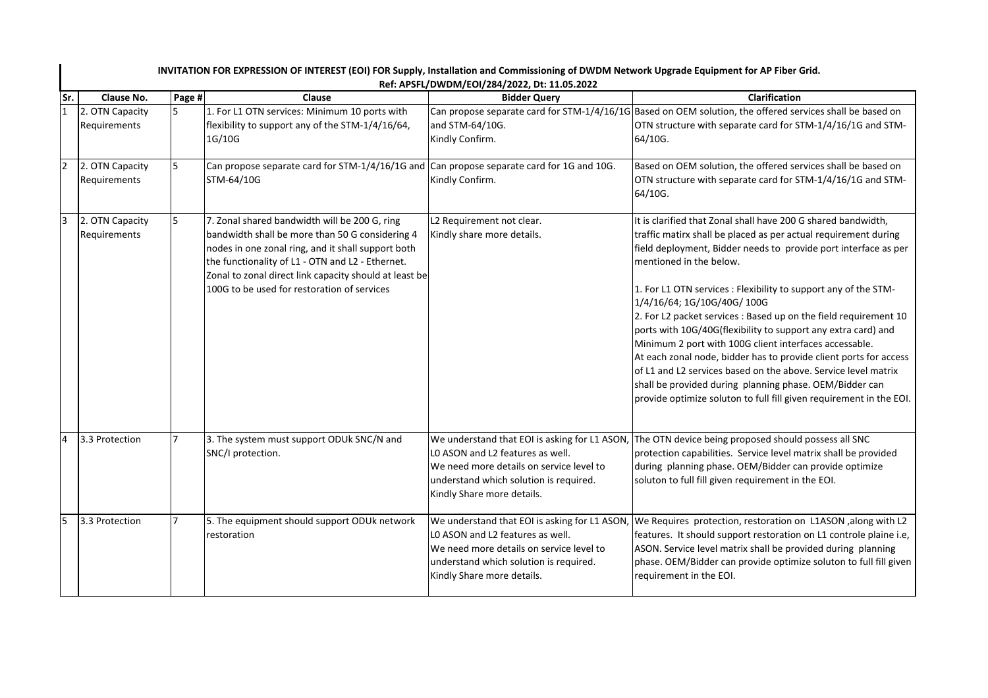| INVITATION FOR EXPRESSION OF INTEREST (EOI) FOR Supply, Installation and Commissioning of DWDM Network Upgrade Equipment for AP Fiber Grid.<br>Ref: APSFL/DWDM/EOI/284/2022, Dt: 11.05.2022 |                |                                                                                                                                                                                                                                                                                                                     |                                                                                                                                                                                                       |                                                                                                                                                                                                                                                                                                                                                                                                                                                                                                                                                                                                                                                                                                                                                                                                          |  |  |  |
|---------------------------------------------------------------------------------------------------------------------------------------------------------------------------------------------|----------------|---------------------------------------------------------------------------------------------------------------------------------------------------------------------------------------------------------------------------------------------------------------------------------------------------------------------|-------------------------------------------------------------------------------------------------------------------------------------------------------------------------------------------------------|----------------------------------------------------------------------------------------------------------------------------------------------------------------------------------------------------------------------------------------------------------------------------------------------------------------------------------------------------------------------------------------------------------------------------------------------------------------------------------------------------------------------------------------------------------------------------------------------------------------------------------------------------------------------------------------------------------------------------------------------------------------------------------------------------------|--|--|--|
| Sr.<br>Clause No.                                                                                                                                                                           | Page #         | Clause                                                                                                                                                                                                                                                                                                              | <b>Bidder Query</b>                                                                                                                                                                                   | Clarification                                                                                                                                                                                                                                                                                                                                                                                                                                                                                                                                                                                                                                                                                                                                                                                            |  |  |  |
| 2. OTN Capacity<br>Requirements                                                                                                                                                             | $\overline{5}$ | 1. For L1 OTN services: Minimum 10 ports with<br>flexibility to support any of the STM-1/4/16/64,<br>1G/10G                                                                                                                                                                                                         | and STM-64/10G.<br>Kindly Confirm.                                                                                                                                                                    | Can propose separate card for STM-1/4/16/1G Based on OEM solution, the offered services shall be based on<br>OTN structure with separate card for STM-1/4/16/1G and STM-<br>64/10G.                                                                                                                                                                                                                                                                                                                                                                                                                                                                                                                                                                                                                      |  |  |  |
| 2. OTN Capacity<br>Requirements                                                                                                                                                             | 5              | Can propose separate card for STM-1/4/16/1G and Can propose separate card for 1G and 10G.<br>STM-64/10G                                                                                                                                                                                                             | Kindly Confirm.                                                                                                                                                                                       | Based on OEM solution, the offered services shall be based on<br>OTN structure with separate card for STM-1/4/16/1G and STM-<br>64/10G.                                                                                                                                                                                                                                                                                                                                                                                                                                                                                                                                                                                                                                                                  |  |  |  |
| 2. OTN Capacity<br>Requirements                                                                                                                                                             | 5              | 7. Zonal shared bandwidth will be 200 G, ring<br>bandwidth shall be more than 50 G considering 4<br>nodes in one zonal ring, and it shall support both<br>the functionality of L1 - OTN and L2 - Ethernet.<br>Zonal to zonal direct link capacity should at least be<br>100G to be used for restoration of services | L2 Requirement not clear.<br>Kindly share more details.                                                                                                                                               | It is clarified that Zonal shall have 200 G shared bandwidth,<br>traffic matirx shall be placed as per actual requirement during<br>field deployment, Bidder needs to provide port interface as per<br>mentioned in the below.<br>1. For L1 OTN services : Flexibility to support any of the STM-<br>1/4/16/64; 1G/10G/40G/ 100G<br>2. For L2 packet services : Based up on the field requirement 10<br>ports with 10G/40G(flexibility to support any extra card) and<br>Minimum 2 port with 100G client interfaces accessable.<br>At each zonal node, bidder has to provide client ports for access<br>of L1 and L2 services based on the above. Service level matrix<br>shall be provided during planning phase. OEM/Bidder can<br>provide optimize soluton to full fill given requirement in the EOI. |  |  |  |
| 3.3 Protection                                                                                                                                                                              | $\overline{7}$ | 3. The system must support ODUk SNC/N and<br>SNC/I protection.                                                                                                                                                                                                                                                      | We understand that EOI is asking for L1 ASON,<br>LO ASON and L2 features as well.<br>We need more details on service level to<br>understand which solution is required.<br>Kindly Share more details. | The OTN device being proposed should possess all SNC<br>protection capabilities. Service level matrix shall be provided<br>during planning phase. OEM/Bidder can provide optimize<br>soluton to full fill given requirement in the EOI.                                                                                                                                                                                                                                                                                                                                                                                                                                                                                                                                                                  |  |  |  |
| 3.3 Protection                                                                                                                                                                              | 7              | 5. The equipment should support ODUk network<br>restoration                                                                                                                                                                                                                                                         | We understand that EOI is asking for L1 ASON,<br>LO ASON and L2 features as well.<br>We need more details on service level to<br>understand which solution is required.<br>Kindly Share more details. | We Requires protection, restoration on L1ASON , along with L2<br>features. It should support restoration on L1 controle plaine i.e,<br>ASON. Service level matrix shall be provided during planning<br>phase. OEM/Bidder can provide optimize soluton to full fill given<br>requirement in the EOI.                                                                                                                                                                                                                                                                                                                                                                                                                                                                                                      |  |  |  |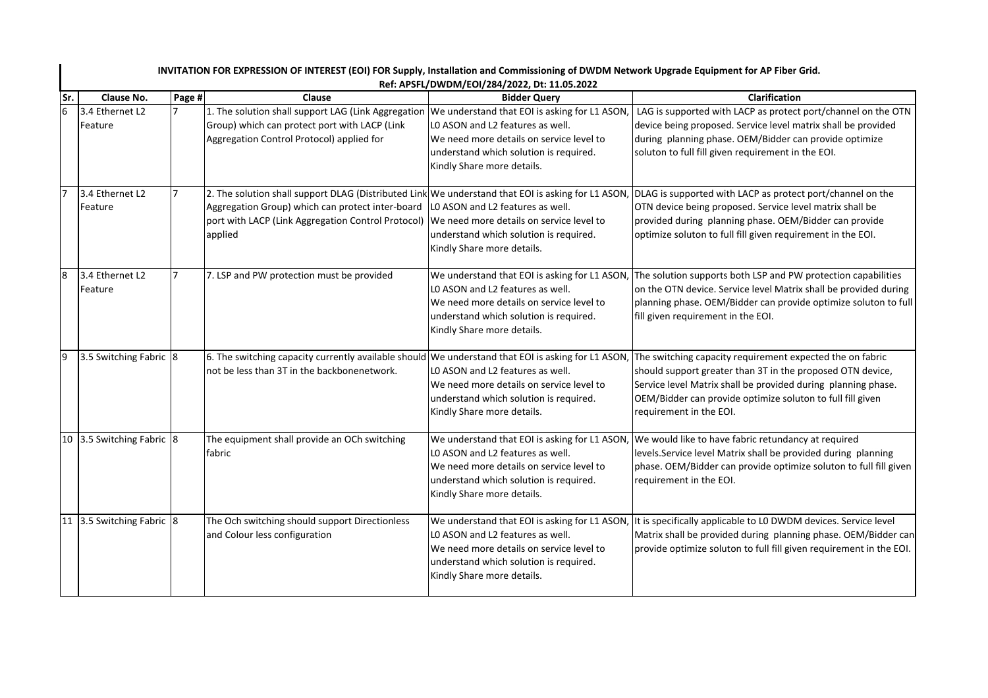|      | INVITATION FOR EXPRESSION OF INTEREST (EOI) FOR Supply, Installation and Commissioning of DWDM Network Upgrade Equipment for AP Fiber Grid.<br>Ref: APSFL/DWDM/EOI/284/2022, Dt: 11.05.2022 |                |                                                                                                                                                                                                                         |                                                                                                                                                                                                       |                                                                                                                                                                                                                                                                                          |  |
|------|---------------------------------------------------------------------------------------------------------------------------------------------------------------------------------------------|----------------|-------------------------------------------------------------------------------------------------------------------------------------------------------------------------------------------------------------------------|-------------------------------------------------------------------------------------------------------------------------------------------------------------------------------------------------------|------------------------------------------------------------------------------------------------------------------------------------------------------------------------------------------------------------------------------------------------------------------------------------------|--|
| lSr. | Clause No.                                                                                                                                                                                  | Page #         | Clause                                                                                                                                                                                                                  | <b>Bidder Query</b>                                                                                                                                                                                   | Clarification                                                                                                                                                                                                                                                                            |  |
|      | 3.4 Ethernet L2<br>Feature                                                                                                                                                                  | $\overline{7}$ | 1. The solution shall support LAG (Link Aggregation   We understand that EOI is asking for L1 ASON,<br>Group) which can protect port with LACP (Link<br>Aggregation Control Protocol) applied for                       | LO ASON and L2 features as well.<br>We need more details on service level to<br>understand which solution is required.<br>Kindly Share more details.                                                  | LAG is supported with LACP as protect port/channel on the OTN<br>device being proposed. Service level matrix shall be provided<br>during planning phase. OEM/Bidder can provide optimize<br>soluton to full fill given requirement in the EOI.                                           |  |
|      | 3.4 Ethernet L2<br>Feature                                                                                                                                                                  | $\overline{7}$ | 2. The solution shall support DLAG (Distributed Link We understand that EOI is asking for L1 ASON,<br>Aggregation Group) which can protect inter-board<br>port with LACP (Link Aggregation Control Protocol)<br>applied | LO ASON and L2 features as well.<br>We need more details on service level to<br>understand which solution is required.<br>Kindly Share more details.                                                  | DLAG is supported with LACP as protect port/channel on the<br>OTN device being proposed. Service level matrix shall be<br>provided during planning phase. OEM/Bidder can provide<br>optimize soluton to full fill given requirement in the EOI.                                          |  |
|      | 3.4 Ethernet L2<br>Feature                                                                                                                                                                  | $\overline{7}$ | 7. LSP and PW protection must be provided                                                                                                                                                                               | LO ASON and L2 features as well.<br>We need more details on service level to<br>understand which solution is required.<br>Kindly Share more details.                                                  | We understand that EOI is asking for L1 ASON, The solution supports both LSP and PW protection capabilities<br>on the OTN device. Service level Matrix shall be provided during<br>planning phase. OEM/Bidder can provide optimize soluton to full<br>fill given requirement in the EOI. |  |
|      | 3.5 Switching Fabric 8                                                                                                                                                                      |                | 6. The switching capacity currently available should<br>not be less than 3T in the backbonenetwork.                                                                                                                     | We understand that EOI is asking for L1 ASON,<br>LO ASON and L2 features as well.<br>We need more details on service level to<br>understand which solution is required.<br>Kindly Share more details. | The switching capacity requirement expected the on fabric<br>should support greater than 3T in the proposed OTN device,<br>Service level Matrix shall be provided during planning phase.<br>OEM/Bidder can provide optimize soluton to full fill given<br>requirement in the EOI.        |  |
|      | 10 3.5 Switching Fabric 8                                                                                                                                                                   |                | The equipment shall provide an OCh switching<br>fabric                                                                                                                                                                  | LO ASON and L2 features as well.<br>We need more details on service level to<br>understand which solution is required.<br>Kindly Share more details.                                                  | We understand that EOI is asking for L1 ASON, We would like to have fabric retundancy at required<br>levels. Service level Matrix shall be provided during planning<br>phase. OEM/Bidder can provide optimize soluton to full fill given<br>requirement in the EOI.                      |  |
|      | 11 3.5 Switching Fabric 8                                                                                                                                                                   |                | The Och switching should support Directionless<br>and Colour less configuration                                                                                                                                         | LO ASON and L2 features as well.<br>We need more details on service level to<br>understand which solution is required.<br>Kindly Share more details.                                                  | We understand that EOI is asking for L1 ASON, It is specifically applicable to L0 DWDM devices. Service level<br>Matrix shall be provided during planning phase. OEM/Bidder can<br>provide optimize soluton to full fill given requirement in the EOI.                                   |  |

## **INVITATION FOR EXPRESSION OF INTEREST (EOI) FOR Supply, Installation and Commissioning of DWDM Network Upgrade Equipment for AP Fiber Grid.**